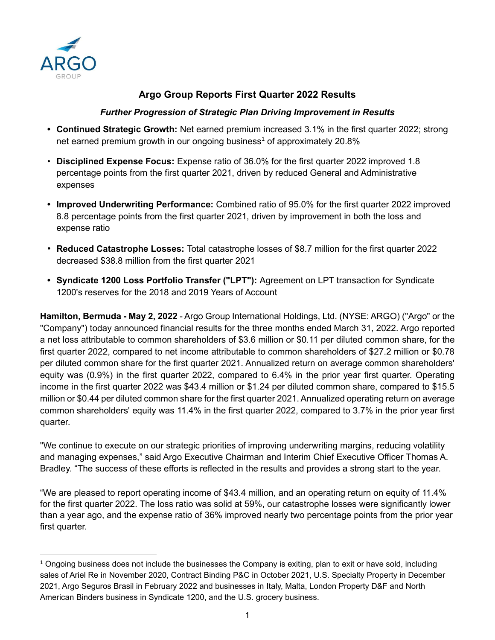

# **Argo Group Reports First Quarter 2022 Results**

## *Further Progression of Strategic Plan Driving Improvement in Results*

- **• Continued Strategic Growth:** Net earned premium increased 3.1% in the first quarter 2022; strong net earned premium growth in our ongoing business<sup>1</sup> of approximately 20.8%
- **Disciplined Expense Focus:** Expense ratio of 36.0% for the first quarter 2022 improved 1.8 percentage points from the first quarter 2021, driven by reduced General and Administrative expenses
- **• Improved Underwriting Performance:** Combined ratio of 95.0% for the first quarter 2022 improved 8.8 percentage points from the first quarter 2021, driven by improvement in both the loss and expense ratio
- **Reduced Catastrophe Losses:** Total catastrophe losses of \$8.7 million for the first quarter 2022 decreased \$38.8 million from the first quarter 2021
- **• Syndicate 1200 Loss Portfolio Transfer ("LPT"):** Agreement on LPT transaction for Syndicate 1200's reserves for the 2018 and 2019 Years of Account

**Hamilton, Bermuda - May 2, 2022** - Argo Group International Holdings, Ltd. (NYSE: ARGO) ("Argo" or the "Company") today announced financial results for the three months ended March 31, 2022. Argo reported a net loss attributable to common shareholders of \$3.6 million or \$0.11 per diluted common share, for the first quarter 2022, compared to net income attributable to common shareholders of \$27.2 million or \$0.78 per diluted common share for the first quarter 2021. Annualized return on average common shareholders' equity was (0.9%) in the first quarter 2022, compared to 6.4% in the prior year first quarter. Operating income in the first quarter 2022 was \$43.4 million or \$1.24 per diluted common share, compared to \$15.5 million or \$0.44 per diluted common share for the first quarter 2021. Annualized operating return on average common shareholders' equity was 11.4% in the first quarter 2022, compared to 3.7% in the prior year first quarter.

"We continue to execute on our strategic priorities of improving underwriting margins, reducing volatility and managing expenses," said Argo Executive Chairman and Interim Chief Executive Officer Thomas A. Bradley. "The success of these efforts is reflected in the results and provides a strong start to the year.

"We are pleased to report operating income of \$43.4 million, and an operating return on equity of 11.4% for the first quarter 2022. The loss ratio was solid at 59%, our catastrophe losses were significantly lower than a year ago, and the expense ratio of 36% improved nearly two percentage points from the prior year first quarter.

<sup>1</sup> Ongoing business does not include the businesses the Company is exiting, plan to exit or have sold, including sales of Ariel Re in November 2020, Contract Binding P&C in October 2021, U.S. Specialty Property in December 2021, Argo Seguros Brasil in February 2022 and businesses in Italy, Malta, London Property D&F and North American Binders business in Syndicate 1200, and the U.S. grocery business.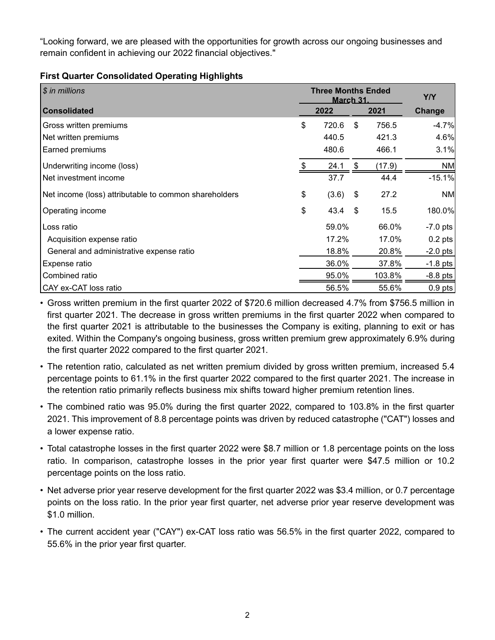"Looking forward, we are pleased with the opportunities for growth across our ongoing businesses and remain confident in achieving our 2022 financial objectives."

#### **First Quarter Consolidated Operating Highlights**

| \$ in millions                                        | <b>Three Months Ended</b><br><b>March 31.</b> | Y/Y |        |            |
|-------------------------------------------------------|-----------------------------------------------|-----|--------|------------|
| <b>Consolidated</b>                                   | 2022                                          |     | 2021   | Change     |
| Gross written premiums                                | \$<br>720.6                                   | \$  | 756.5  | $-4.7%$    |
| Net written premiums                                  | 440.5                                         |     | 421.3  | 4.6%       |
| Earned premiums                                       | 480.6                                         |     | 466.1  | 3.1%       |
| Underwriting income (loss)                            | 24.1                                          | -\$ | (17.9) | <b>NM</b>  |
| Net investment income                                 | 37.7                                          |     | 44.4   | $-15.1%$   |
| Net income (loss) attributable to common shareholders | \$<br>(3.6)                                   | \$  | 27.2   | <b>NM</b>  |
| Operating income                                      | \$<br>$43.4$ \$                               |     | 15.5   | 180.0%     |
| Loss ratio                                            | 59.0%                                         |     | 66.0%  | $-7.0$ pts |
| Acquisition expense ratio                             | 17.2%                                         |     | 17.0%  | $0.2$ pts  |
| General and administrative expense ratio              | 18.8%                                         |     | 20.8%  | $-2.0$ pts |
| Expense ratio                                         | 36.0%                                         |     | 37.8%  | $-1.8$ pts |
| Combined ratio                                        | 95.0%                                         |     | 103.8% | $-8.8$ pts |
| CAY ex-CAT loss ratio                                 | 56.5%                                         |     | 55.6%  | $0.9$ pts  |

• Gross written premium in the first quarter 2022 of \$720.6 million decreased 4.7% from \$756.5 million in first quarter 2021. The decrease in gross written premiums in the first quarter 2022 when compared to the first quarter 2021 is attributable to the businesses the Company is exiting, planning to exit or has exited. Within the Company's ongoing business, gross written premium grew approximately 6.9% during the first quarter 2022 compared to the first quarter 2021.

- The retention ratio, calculated as net written premium divided by gross written premium, increased 5.4 percentage points to 61.1% in the first quarter 2022 compared to the first quarter 2021. The increase in the retention ratio primarily reflects business mix shifts toward higher premium retention lines.
- The combined ratio was 95.0% during the first quarter 2022, compared to 103.8% in the first quarter 2021. This improvement of 8.8 percentage points was driven by reduced catastrophe ("CAT") losses and a lower expense ratio.
- Total catastrophe losses in the first quarter 2022 were \$8.7 million or 1.8 percentage points on the loss ratio. In comparison, catastrophe losses in the prior year first quarter were \$47.5 million or 10.2 percentage points on the loss ratio.
- Net adverse prior year reserve development for the first quarter 2022 was \$3.4 million, or 0.7 percentage points on the loss ratio. In the prior year first quarter, net adverse prior year reserve development was \$1.0 million.
- The current accident year ("CAY") ex-CAT loss ratio was 56.5% in the first quarter 2022, compared to 55.6% in the prior year first quarter.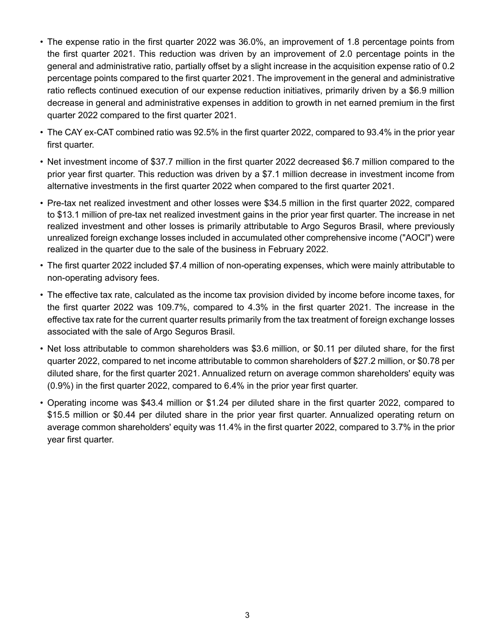- The expense ratio in the first quarter 2022 was 36.0%, an improvement of 1.8 percentage points from the first quarter 2021. This reduction was driven by an improvement of 2.0 percentage points in the general and administrative ratio, partially offset by a slight increase in the acquisition expense ratio of 0.2 percentage points compared to the first quarter 2021. The improvement in the general and administrative ratio reflects continued execution of our expense reduction initiatives, primarily driven by a \$6.9 million decrease in general and administrative expenses in addition to growth in net earned premium in the first quarter 2022 compared to the first quarter 2021.
- The CAY ex-CAT combined ratio was 92.5% in the first quarter 2022, compared to 93.4% in the prior year first quarter.
- Net investment income of \$37.7 million in the first quarter 2022 decreased \$6.7 million compared to the prior year first quarter. This reduction was driven by a \$7.1 million decrease in investment income from alternative investments in the first quarter 2022 when compared to the first quarter 2021.
- Pre-tax net realized investment and other losses were \$34.5 million in the first quarter 2022, compared to \$13.1 million of pre-tax net realized investment gains in the prior year first quarter. The increase in net realized investment and other losses is primarily attributable to Argo Seguros Brasil, where previously unrealized foreign exchange losses included in accumulated other comprehensive income ("AOCI") were realized in the quarter due to the sale of the business in February 2022.
- The first quarter 2022 included \$7.4 million of non-operating expenses, which were mainly attributable to non-operating advisory fees.
- The effective tax rate, calculated as the income tax provision divided by income before income taxes, for the first quarter 2022 was 109.7%, compared to 4.3% in the first quarter 2021. The increase in the effective tax rate for the current quarter results primarily from the tax treatment of foreign exchange losses associated with the sale of Argo Seguros Brasil.
- Net loss attributable to common shareholders was \$3.6 million, or \$0.11 per diluted share, for the first quarter 2022, compared to net income attributable to common shareholders of \$27.2 million, or \$0.78 per diluted share, for the first quarter 2021. Annualized return on average common shareholders' equity was (0.9%) in the first quarter 2022, compared to 6.4% in the prior year first quarter.
- Operating income was \$43.4 million or \$1.24 per diluted share in the first quarter 2022, compared to \$15.5 million or \$0.44 per diluted share in the prior year first quarter. Annualized operating return on average common shareholders' equity was 11.4% in the first quarter 2022, compared to 3.7% in the prior year first quarter.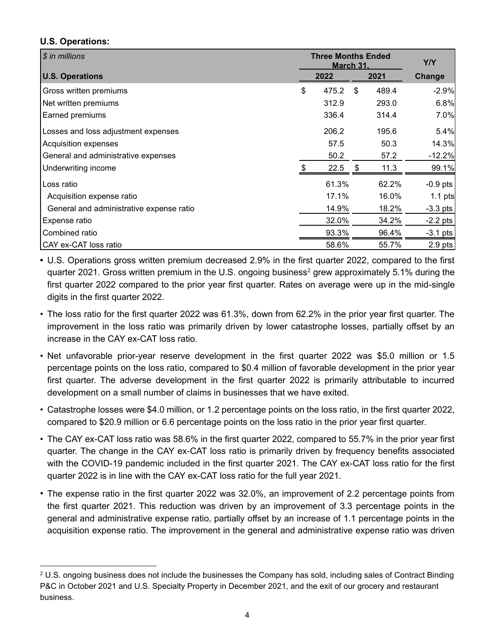## **U.S. Operations:**

| \$ in millions                           | <b>Three Months Ended</b><br><b>March 31.</b> | <b>Y/Y</b>  |            |
|------------------------------------------|-----------------------------------------------|-------------|------------|
| <b>U.S. Operations</b>                   | 2022                                          | 2021        | Change     |
| Gross written premiums                   | \$<br>475.2                                   | \$<br>489.4 | $-2.9%$    |
| Net written premiums                     | 312.9                                         | 293.0       | 6.8%       |
| Earned premiums                          | 336.4                                         | 314.4       | 7.0%       |
| Losses and loss adjustment expenses      | 206.2                                         | 195.6       | 5.4%       |
| Acquisition expenses                     | 57.5                                          | 50.3        | 14.3%      |
| General and administrative expenses      | 50.2                                          | 57.2        | $-12.2%$   |
| Underwriting income                      | 22.5                                          | 11.3        | 99.1%      |
| Loss ratio                               | 61.3%                                         | 62.2%       | $-0.9$ pts |
| Acquisition expense ratio                | 17.1%                                         | 16.0%       | $1.1$ pts  |
| General and administrative expense ratio | 14.9%                                         | 18.2%       | $-3.3$ pts |
| Expense ratio                            | 32.0%                                         | 34.2%       | $-2.2$ pts |
| Combined ratio                           | 93.3%                                         | 96.4%       | $-3.1$ pts |
| CAY ex-CAT loss ratio                    | 58.6%                                         | 55.7%       | $2.9$ pts  |

**•** U.S. Operations gross written premium decreased 2.9% in the first quarter 2022, compared to the first quarter 2021. Gross written premium in the U.S. ongoing business<sup>2</sup> grew approximately 5.1% during the first quarter 2022 compared to the prior year first quarter. Rates on average were up in the mid-single digits in the first quarter 2022.

- The loss ratio for the first quarter 2022 was 61.3%, down from 62.2% in the prior year first quarter. The improvement in the loss ratio was primarily driven by lower catastrophe losses, partially offset by an increase in the CAY ex-CAT loss ratio.
- Net unfavorable prior-year reserve development in the first quarter 2022 was \$5.0 million or 1.5 percentage points on the loss ratio, compared to \$0.4 million of favorable development in the prior year first quarter. The adverse development in the first quarter 2022 is primarily attributable to incurred development on a small number of claims in businesses that we have exited.
- Catastrophe losses were \$4.0 million, or 1.2 percentage points on the loss ratio, in the first quarter 2022, compared to \$20.9 million or 6.6 percentage points on the loss ratio in the prior year first quarter.
- The CAY ex-CAT loss ratio was 58.6% in the first quarter 2022, compared to 55.7% in the prior year first quarter. The change in the CAY ex-CAT loss ratio is primarily driven by frequency benefits associated with the COVID-19 pandemic included in the first quarter 2021. The CAY ex-CAT loss ratio for the first quarter 2022 is in line with the CAY ex-CAT loss ratio for the full year 2021.
- The expense ratio in the first quarter 2022 was 32.0%, an improvement of 2.2 percentage points from the first quarter 2021. This reduction was driven by an improvement of 3.3 percentage points in the general and administrative expense ratio, partially offset by an increase of 1.1 percentage points in the acquisition expense ratio. The improvement in the general and administrative expense ratio was driven

<sup>2</sup> U.S. ongoing business does not include the businesses the Company has sold, including sales of Contract Binding P&C in October 2021 and U.S. Specialty Property in December 2021, and the exit of our grocery and restaurant business.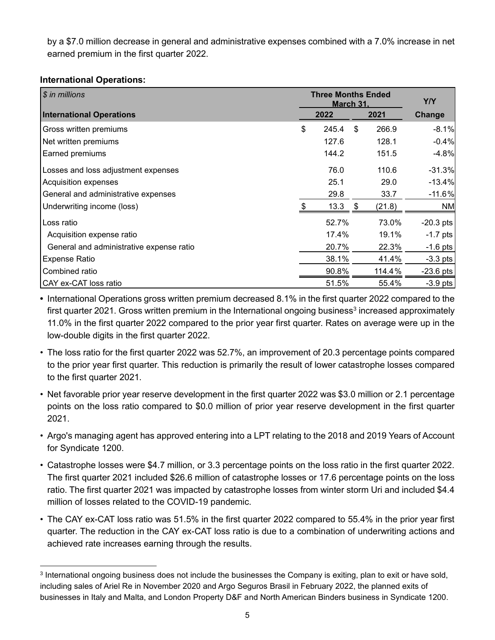by a \$7.0 million decrease in general and administrative expenses combined with a 7.0% increase in net earned premium in the first quarter 2022.

#### **International Operations:**

| $$$ in millions                          | <b>Three Months Ended</b><br><b>March 31.</b> | <b>Y/Y</b>  |             |
|------------------------------------------|-----------------------------------------------|-------------|-------------|
| <b>International Operations</b>          | 2022                                          | 2021        | Change      |
| Gross written premiums                   | \$<br>245.4                                   | \$<br>266.9 | $-8.1%$     |
| Net written premiums                     | 127.6                                         | 128.1       | $-0.4%$     |
| Earned premiums                          | 144.2                                         | 151.5       | $-4.8%$     |
| Losses and loss adjustment expenses      | 76.0                                          | 110.6       | $-31.3%$    |
| Acquisition expenses                     | 25.1                                          | 29.0        | $-13.4%$    |
| General and administrative expenses      | 29.8                                          | 33.7        | $-11.6%$    |
| Underwriting income (loss)               | 13.3                                          | (21.8)      | <b>NM</b>   |
| Loss ratio                               | 52.7%                                         | 73.0%       | $-20.3$ pts |
| Acquisition expense ratio                | 17.4%                                         | 19.1%       | $-1.7$ pts  |
| General and administrative expense ratio | 20.7%                                         | 22.3%       | $-1.6$ pts  |
| <b>Expense Ratio</b>                     | 38.1%                                         | 41.4%       | $-3.3$ pts  |
| Combined ratio                           | 90.8%                                         | 114.4%      | $-23.6$ pts |
| CAY ex-CAT loss ratio                    | 51.5%                                         | 55.4%       | $-3.9$ pts  |

**•** International Operations gross written premium decreased 8.1% in the first quarter 2022 compared to the first quarter 2021. Gross written premium in the International ongoing business<sup>3</sup> increased approximately 11.0% in the first quarter 2022 compared to the prior year first quarter. Rates on average were up in the low-double digits in the first quarter 2022.

- The loss ratio for the first quarter 2022 was 52.7%, an improvement of 20.3 percentage points compared to the prior year first quarter. This reduction is primarily the result of lower catastrophe losses compared to the first quarter 2021.
- Net favorable prior year reserve development in the first quarter 2022 was \$3.0 million or 2.1 percentage points on the loss ratio compared to \$0.0 million of prior year reserve development in the first quarter 2021.
- Argo's managing agent has approved entering into a LPT relating to the 2018 and 2019 Years of Account for Syndicate 1200.
- Catastrophe losses were \$4.7 million, or 3.3 percentage points on the loss ratio in the first quarter 2022. The first quarter 2021 included \$26.6 million of catastrophe losses or 17.6 percentage points on the loss ratio. The first quarter 2021 was impacted by catastrophe losses from winter storm Uri and included \$4.4 million of losses related to the COVID-19 pandemic.
- The CAY ex-CAT loss ratio was 51.5% in the first quarter 2022 compared to 55.4% in the prior year first quarter. The reduction in the CAY ex-CAT loss ratio is due to a combination of underwriting actions and achieved rate increases earning through the results.

<sup>3</sup> International ongoing business does not include the businesses the Company is exiting, plan to exit or have sold, including sales of Ariel Re in November 2020 and Argo Seguros Brasil in February 2022, the planned exits of businesses in Italy and Malta, and London Property D&F and North American Binders business in Syndicate 1200.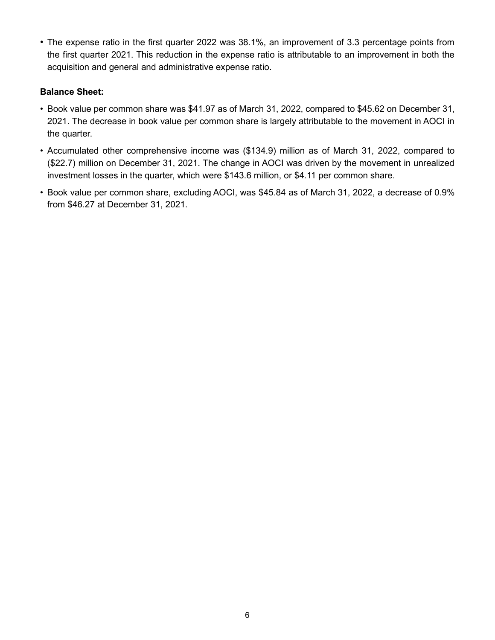• The expense ratio in the first quarter 2022 was 38.1%, an improvement of 3.3 percentage points from the first quarter 2021. This reduction in the expense ratio is attributable to an improvement in both the acquisition and general and administrative expense ratio.

#### **Balance Sheet:**

- Book value per common share was \$41.97 as of March 31, 2022, compared to \$45.62 on December 31, 2021. The decrease in book value per common share is largely attributable to the movement in AOCI in the quarter.
- Accumulated other comprehensive income was (\$134.9) million as of March 31, 2022, compared to (\$22.7) million on December 31, 2021. The change in AOCI was driven by the movement in unrealized investment losses in the quarter, which were \$143.6 million, or \$4.11 per common share.
- Book value per common share, excluding AOCI, was \$45.84 as of March 31, 2022, a decrease of 0.9% from \$46.27 at December 31, 2021.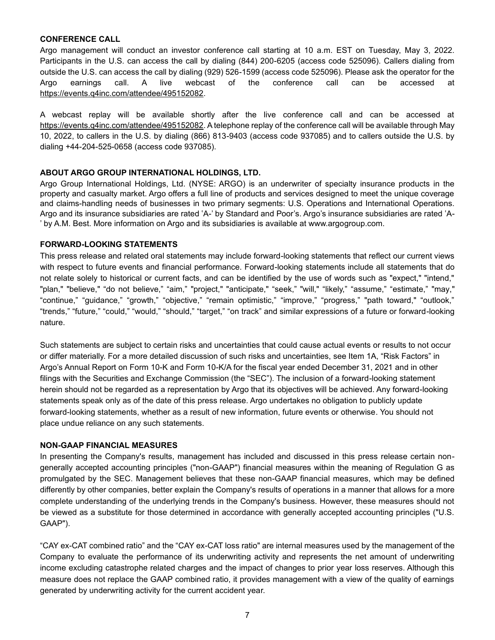#### **CONFERENCE CALL**

Argo management will conduct an investor conference call starting at 10 a.m. EST on Tuesday, May 3, 2022. Participants in the U.S. can access the call by dialing (844) 200-6205 (access code 525096). Callers dialing from outside the U.S. can access the call by dialing (929) 526-1599 (access code 525096). Please ask the operator for the Argo earnings call. A live webcast of the conference call can be accessed at [https://events.q4inc.com/attendee/495152082.](https://events.q4inc.com/attendee/495152082)

A webcast replay will be available shortly after the live conference call and can be accessed at [https://events.q4inc.com/attendee/495152082.](https://events.q4inc.com/attendee/495152082) A telephone replay of the conference call will be available through May 10, 2022, to callers in the U.S. by dialing (866) 813-9403 (access code 937085) and to callers outside the U.S. by dialing +44-204-525-0658 (access code 937085).

#### **ABOUT ARGO GROUP INTERNATIONAL HOLDINGS, LTD.**

Argo Group International Holdings, Ltd. (NYSE: ARGO) is an underwriter of specialty insurance products in the property and casualty market. Argo offers a full line of products and services designed to meet the unique coverage and claims-handling needs of businesses in two primary segments: U.S. Operations and International Operations. Argo and its insurance subsidiaries are rated 'A-' by Standard and Poor's. Argo's insurance subsidiaries are rated 'A- ' by A.M. Best. More information on Argo and its subsidiaries is available at www.argogroup.com.

#### **FORWARD-LOOKING STATEMENTS**

This press release and related oral statements may include forward-looking statements that reflect our current views with respect to future events and financial performance. Forward-looking statements include all statements that do not relate solely to historical or current facts, and can be identified by the use of words such as "expect," "intend," "plan," "believe," "do not believe," "aim," "project," "anticipate," "seek," "will," "likely," "assume," "estimate," "may," "continue," "guidance," "growth," "objective," "remain optimistic," "improve," "progress," "path toward," "outlook," "trends," "future," "could," "would," "should," "target," "on track" and similar expressions of a future or forward-looking nature.

Such statements are subject to certain risks and uncertainties that could cause actual events or results to not occur or differ materially. For a more detailed discussion of such risks and uncertainties, see Item 1A, "Risk Factors" in Argo's Annual Report on Form 10-K and Form 10-K/A for the fiscal year ended December 31, 2021 and in other filings with the Securities and Exchange Commission (the "SEC"). The inclusion of a forward-looking statement herein should not be regarded as a representation by Argo that its objectives will be achieved. Any forward-looking statements speak only as of the date of this press release. Argo undertakes no obligation to publicly update forward-looking statements, whether as a result of new information, future events or otherwise. You should not place undue reliance on any such statements.

#### **NON-GAAP FINANCIAL MEASURES**

In presenting the Company's results, management has included and discussed in this press release certain nongenerally accepted accounting principles ("non-GAAP") financial measures within the meaning of Regulation G as promulgated by the SEC. Management believes that these non-GAAP financial measures, which may be defined differently by other companies, better explain the Company's results of operations in a manner that allows for a more complete understanding of the underlying trends in the Company's business. However, these measures should not be viewed as a substitute for those determined in accordance with generally accepted accounting principles ("U.S. GAAP").

"CAY ex-CAT combined ratio" and the "CAY ex-CAT loss ratio" are internal measures used by the management of the Company to evaluate the performance of its underwriting activity and represents the net amount of underwriting income excluding catastrophe related charges and the impact of changes to prior year loss reserves. Although this measure does not replace the GAAP combined ratio, it provides management with a view of the quality of earnings generated by underwriting activity for the current accident year.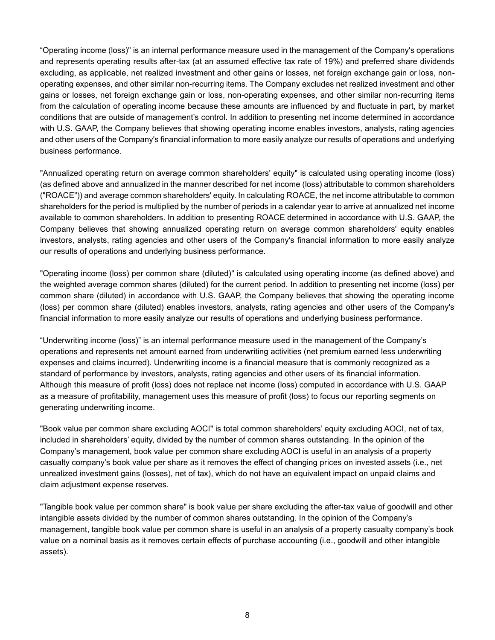"Operating income (loss)" is an internal performance measure used in the management of the Company's operations and represents operating results after-tax (at an assumed effective tax rate of 19%) and preferred share dividends excluding, as applicable, net realized investment and other gains or losses, net foreign exchange gain or loss, nonoperating expenses, and other similar non-recurring items. The Company excludes net realized investment and other gains or losses, net foreign exchange gain or loss, non-operating expenses, and other similar non-recurring items from the calculation of operating income because these amounts are influenced by and fluctuate in part, by market conditions that are outside of management's control. In addition to presenting net income determined in accordance with U.S. GAAP, the Company believes that showing operating income enables investors, analysts, rating agencies and other users of the Company's financial information to more easily analyze our results of operations and underlying business performance.

"Annualized operating return on average common shareholders' equity" is calculated using operating income (loss) (as defined above and annualized in the manner described for net income (loss) attributable to common shareholders ("ROACE")) and average common shareholders' equity. In calculating ROACE, the net income attributable to common shareholders for the period is multiplied by the number of periods in a calendar year to arrive at annualized net income available to common shareholders. In addition to presenting ROACE determined in accordance with U.S. GAAP, the Company believes that showing annualized operating return on average common shareholders' equity enables investors, analysts, rating agencies and other users of the Company's financial information to more easily analyze our results of operations and underlying business performance.

"Operating income (loss) per common share (diluted)" is calculated using operating income (as defined above) and the weighted average common shares (diluted) for the current period. In addition to presenting net income (loss) per common share (diluted) in accordance with U.S. GAAP, the Company believes that showing the operating income (loss) per common share (diluted) enables investors, analysts, rating agencies and other users of the Company's financial information to more easily analyze our results of operations and underlying business performance.

"Underwriting income (loss)" is an internal performance measure used in the management of the Company's operations and represents net amount earned from underwriting activities (net premium earned less underwriting expenses and claims incurred). Underwriting income is a financial measure that is commonly recognized as a standard of performance by investors, analysts, rating agencies and other users of its financial information. Although this measure of profit (loss) does not replace net income (loss) computed in accordance with U.S. GAAP as a measure of profitability, management uses this measure of profit (loss) to focus our reporting segments on generating underwriting income.

"Book value per common share excluding AOCI" is total common shareholders' equity excluding AOCI, net of tax, included in shareholders' equity, divided by the number of common shares outstanding. In the opinion of the Company's management, book value per common share excluding AOCI is useful in an analysis of a property casualty company's book value per share as it removes the effect of changing prices on invested assets (i.e., net unrealized investment gains (losses), net of tax), which do not have an equivalent impact on unpaid claims and claim adjustment expense reserves.

"Tangible book value per common share" is book value per share excluding the after-tax value of goodwill and other intangible assets divided by the number of common shares outstanding. In the opinion of the Company's management, tangible book value per common share is useful in an analysis of a property casualty company's book value on a nominal basis as it removes certain effects of purchase accounting (i.e., goodwill and other intangible assets).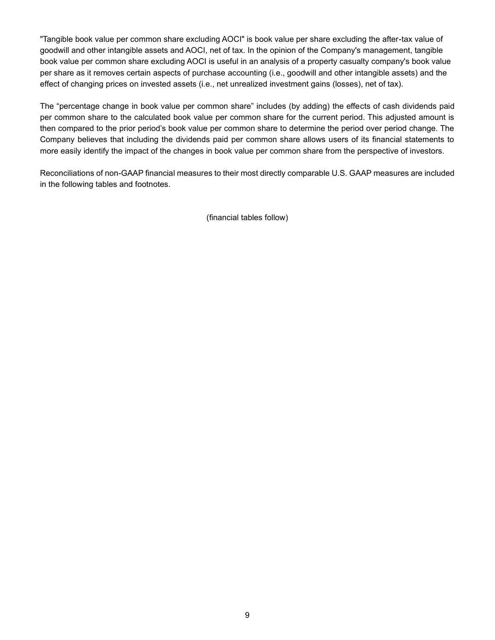"Tangible book value per common share excluding AOCI" is book value per share excluding the after-tax value of goodwill and other intangible assets and AOCI, net of tax. In the opinion of the Company's management, tangible book value per common share excluding AOCI is useful in an analysis of a property casualty company's book value per share as it removes certain aspects of purchase accounting (i.e., goodwill and other intangible assets) and the effect of changing prices on invested assets (i.e., net unrealized investment gains (losses), net of tax).

The "percentage change in book value per common share" includes (by adding) the effects of cash dividends paid per common share to the calculated book value per common share for the current period. This adjusted amount is then compared to the prior period's book value per common share to determine the period over period change. The Company believes that including the dividends paid per common share allows users of its financial statements to more easily identify the impact of the changes in book value per common share from the perspective of investors.

Reconciliations of non-GAAP financial measures to their most directly comparable U.S. GAAP measures are included in the following tables and footnotes.

(financial tables follow)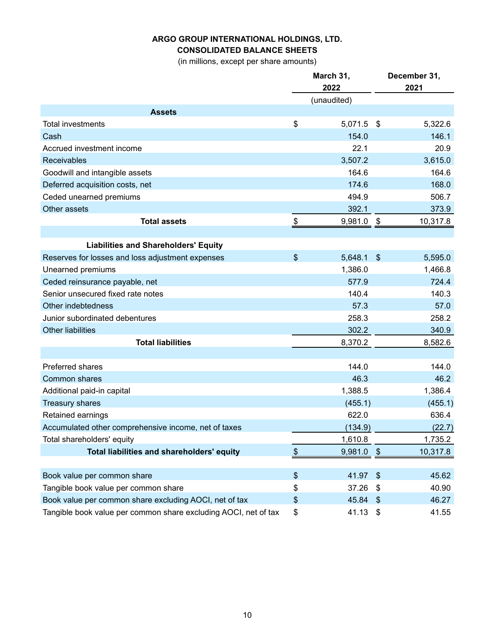## **CONSOLIDATED BALANCE SHEETS**

(in millions, except per share amounts)

|                                                                 | March 31, |                  |     | December 31,  |
|-----------------------------------------------------------------|-----------|------------------|-----|---------------|
|                                                                 |           | 2022             |     | 2021          |
|                                                                 |           | (unaudited)      |     |               |
| <b>Assets</b><br><b>Total investments</b>                       | \$        |                  |     |               |
|                                                                 |           | 5,071.5          | \$  | 5,322.6       |
| Cash                                                            |           | 154.0<br>22.1    |     | 146.1<br>20.9 |
| Accrued investment income                                       |           |                  |     |               |
| <b>Receivables</b>                                              |           | 3,507.2<br>164.6 |     | 3,615.0       |
| Goodwill and intangible assets                                  |           |                  |     | 164.6         |
| Deferred acquisition costs, net                                 |           | 174.6            |     | 168.0         |
| Ceded unearned premiums                                         |           | 494.9            |     | 506.7         |
| Other assets                                                    |           | 392.1            |     | 373.9         |
| <b>Total assets</b>                                             | \$        | 9,981.0          | -\$ | 10,317.8      |
| <b>Liabilities and Shareholders' Equity</b>                     |           |                  |     |               |
| Reserves for losses and loss adjustment expenses                | \$        | 5,648.1          | \$  | 5,595.0       |
| Unearned premiums                                               |           | 1,386.0          |     | 1,466.8       |
| Ceded reinsurance payable, net                                  |           | 577.9            |     | 724.4         |
| Senior unsecured fixed rate notes                               |           | 140.4            |     | 140.3         |
| Other indebtedness                                              |           | 57.3             |     | 57.0          |
| Junior subordinated debentures                                  |           | 258.3            |     | 258.2         |
| <b>Other liabilities</b>                                        |           | 302.2            |     | 340.9         |
| <b>Total liabilities</b>                                        |           | 8,370.2          |     | 8,582.6       |
|                                                                 |           |                  |     |               |
| <b>Preferred shares</b>                                         |           | 144.0            |     | 144.0         |
| <b>Common shares</b>                                            |           | 46.3             |     | 46.2          |
| Additional paid-in capital                                      |           | 1,388.5          |     | 1,386.4       |
| <b>Treasury shares</b>                                          |           | (455.1)          |     | (455.1)       |
| Retained earnings                                               |           | 622.0            |     | 636.4         |
| Accumulated other comprehensive income, net of taxes            |           | (134.9)          |     | (22.7)        |
| Total shareholders' equity                                      |           | 1,610.8          |     | 1,735.2       |
| Total liabilities and shareholders' equity                      | \$        | 9,981.0          | \$  | 10,317.8      |
|                                                                 |           |                  |     |               |
| Book value per common share                                     | \$        | 41.97            | \$  | 45.62         |
| Tangible book value per common share                            | \$        | 37.26            | \$  | 40.90         |
| Book value per common share excluding AOCI, net of tax          | \$        | 45.84            | \$  | 46.27         |
| Tangible book value per common share excluding AOCI, net of tax | \$        | 41.13            | \$  | 41.55         |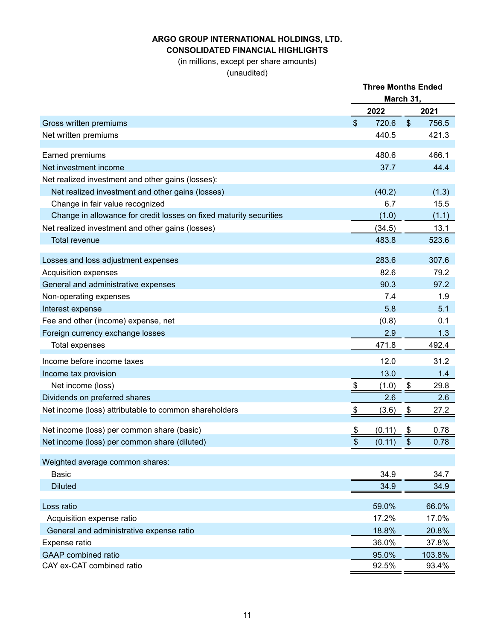#### **ARGO GROUP INTERNATIONAL HOLDINGS, LTD. CONSOLIDATED FINANCIAL HIGHLIGHTS**

(in millions, except per share amounts)

|                                                                    | <b>Three Months Ended</b><br>March 31, |        |                   |        |
|--------------------------------------------------------------------|----------------------------------------|--------|-------------------|--------|
|                                                                    |                                        | 2022   |                   | 2021   |
| Gross written premiums                                             | $\boldsymbol{\mathsf{S}}$              | 720.6  | $\boldsymbol{\$}$ | 756.5  |
| Net written premiums                                               |                                        | 440.5  |                   | 421.3  |
|                                                                    |                                        |        |                   |        |
| Earned premiums                                                    |                                        | 480.6  |                   | 466.1  |
| Net investment income                                              |                                        | 37.7   |                   | 44.4   |
| Net realized investment and other gains (losses):                  |                                        |        |                   |        |
| Net realized investment and other gains (losses)                   |                                        | (40.2) |                   | (1.3)  |
| Change in fair value recognized                                    |                                        | 6.7    |                   | 15.5   |
| Change in allowance for credit losses on fixed maturity securities |                                        | (1.0)  |                   | (1.1)  |
| Net realized investment and other gains (losses)                   |                                        | (34.5) |                   | 13.1   |
| <b>Total revenue</b>                                               |                                        | 483.8  |                   | 523.6  |
| Losses and loss adjustment expenses                                |                                        | 283.6  |                   | 307.6  |
| Acquisition expenses                                               |                                        | 82.6   |                   | 79.2   |
| General and administrative expenses                                |                                        | 90.3   |                   | 97.2   |
| Non-operating expenses                                             |                                        | 7.4    |                   | 1.9    |
| Interest expense                                                   |                                        | 5.8    |                   | 5.1    |
| Fee and other (income) expense, net                                |                                        | (0.8)  |                   | 0.1    |
| Foreign currency exchange losses                                   |                                        | 2.9    |                   | 1.3    |
| <b>Total expenses</b>                                              |                                        | 471.8  |                   | 492.4  |
| Income before income taxes                                         |                                        | 12.0   |                   | 31.2   |
| Income tax provision                                               |                                        | 13.0   |                   | 1.4    |
| Net income (loss)                                                  | \$                                     | (1.0)  | \$                | 29.8   |
| Dividends on preferred shares                                      |                                        | 2.6    |                   | 2.6    |
| Net income (loss) attributable to common shareholders              | \$                                     | (3.6)  | $\frac{1}{2}$     | 27.2   |
| Net income (loss) per common share (basic)                         |                                        | (0.11) |                   | 0.78   |
|                                                                    | $\frac{1}{2}$<br>\$                    | (0.11) | \$<br>\$          | 0.78   |
| Net income (loss) per common share (diluted)                       |                                        |        |                   |        |
| Weighted average common shares:                                    |                                        |        |                   |        |
| <b>Basic</b>                                                       |                                        | 34.9   |                   | 34.7   |
| <b>Diluted</b>                                                     |                                        | 34.9   |                   | 34.9   |
| Loss ratio                                                         |                                        | 59.0%  |                   | 66.0%  |
| Acquisition expense ratio                                          |                                        | 17.2%  |                   | 17.0%  |
| General and administrative expense ratio                           |                                        | 18.8%  |                   | 20.8%  |
| Expense ratio                                                      |                                        | 36.0%  |                   | 37.8%  |
| <b>GAAP</b> combined ratio                                         |                                        | 95.0%  |                   | 103.8% |
| CAY ex-CAT combined ratio                                          |                                        | 92.5%  |                   | 93.4%  |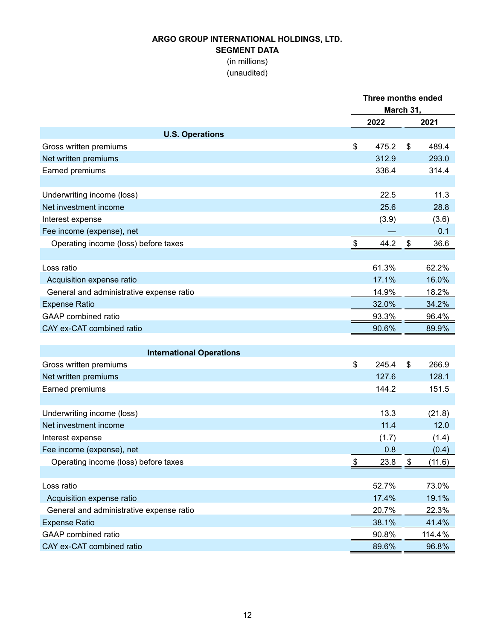#### **SEGMENT DATA**

(in millions)

|                                          |             | <b>Three months ended</b><br>March 31, |        |  |  |
|------------------------------------------|-------------|----------------------------------------|--------|--|--|
|                                          | 2022        |                                        | 2021   |  |  |
| <b>U.S. Operations</b>                   |             |                                        |        |  |  |
| Gross written premiums                   | \$<br>475.2 | \$                                     | 489.4  |  |  |
| Net written premiums                     | 312.9       |                                        | 293.0  |  |  |
| Earned premiums                          | 336.4       |                                        | 314.4  |  |  |
| Underwriting income (loss)               | 22.5        |                                        | 11.3   |  |  |
| Net investment income                    | 25.6        |                                        | 28.8   |  |  |
| Interest expense                         | (3.9)       |                                        | (3.6)  |  |  |
| Fee income (expense), net                |             |                                        | 0.1    |  |  |
| Operating income (loss) before taxes     | 44.2<br>\$  | $\frac{3}{2}$                          | 36.6   |  |  |
| Loss ratio                               | 61.3%       |                                        | 62.2%  |  |  |
| Acquisition expense ratio                | 17.1%       |                                        | 16.0%  |  |  |
| General and administrative expense ratio | 14.9%       |                                        | 18.2%  |  |  |
| <b>Expense Ratio</b>                     | 32.0%       |                                        | 34.2%  |  |  |
| <b>GAAP</b> combined ratio               | 93.3%       |                                        | 96.4%  |  |  |
| CAY ex-CAT combined ratio                | 90.6%       |                                        | 89.9%  |  |  |
| <b>International Operations</b>          |             |                                        |        |  |  |
| Gross written premiums                   | \$<br>245.4 | \$                                     | 266.9  |  |  |
| Net written premiums                     | 127.6       |                                        | 128.1  |  |  |
| Earned premiums                          | 144.2       |                                        | 151.5  |  |  |
|                                          |             |                                        |        |  |  |
| Underwriting income (loss)               | 13.3        |                                        | (21.8) |  |  |
| Net investment income                    | 11.4        |                                        | 12.0   |  |  |
| Interest expense                         | (1.7)       |                                        | (1.4)  |  |  |
| Fee income (expense), net                | 0.8         |                                        | (0.4)  |  |  |
| Operating income (loss) before taxes     | 23.8<br>\$  | \$                                     | (11.6) |  |  |
| Loss ratio                               | 52.7%       |                                        | 73.0%  |  |  |
| Acquisition expense ratio                | 17.4%       |                                        | 19.1%  |  |  |
| General and administrative expense ratio | 20.7%       |                                        | 22.3%  |  |  |
| <b>Expense Ratio</b>                     | 38.1%       |                                        | 41.4%  |  |  |
| <b>GAAP</b> combined ratio               | 90.8%       |                                        | 114.4% |  |  |
| CAY ex-CAT combined ratio                | 89.6%       |                                        | 96.8%  |  |  |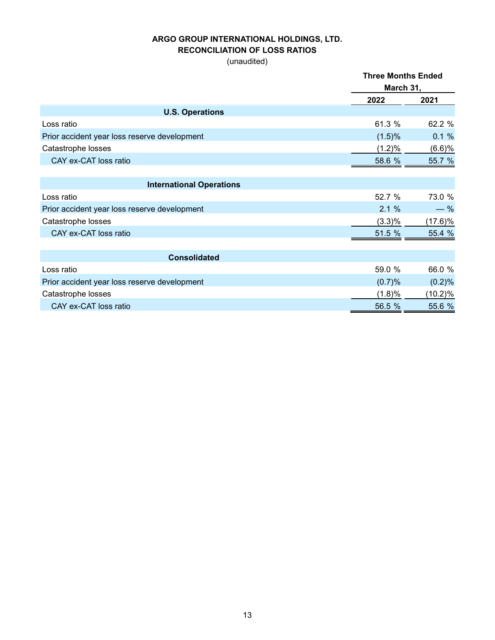#### **RECONCILIATION OF LOSS RATIOS**

|                                              | <b>Three Months Ended</b> |         |  |
|----------------------------------------------|---------------------------|---------|--|
|                                              | March 31,                 |         |  |
|                                              | 2022                      | 2021    |  |
| <b>U.S. Operations</b>                       |                           |         |  |
| Loss ratio                                   | 61.3 %                    | 62.2 %  |  |
| Prior accident year loss reserve development | (1.5)%                    | 0.1%    |  |
| Catastrophe losses                           | (1.2)%                    | (6.6)%  |  |
| CAY ex-CAT loss ratio                        | 58.6 %                    | 55.7 %  |  |
| <b>International Operations</b>              |                           |         |  |
| Loss ratio                                   | 52.7 %                    | 73.0 %  |  |
| Prior accident year loss reserve development | 2.1%                      | $-$ %   |  |
| Catastrophe losses                           | $(3.3)\%$                 | (17.6)% |  |
| CAY ex-CAT loss ratio                        | 51.5 %                    | 55.4 %  |  |
|                                              |                           |         |  |
| <b>Consolidated</b>                          |                           |         |  |
| Loss ratio                                   | 59.0 %                    | 66.0 %  |  |
| Prior accident year loss reserve development | (0.7)%                    | (0.2)%  |  |
| Catastrophe losses                           | (1.8)%                    | (10.2)% |  |
| CAY ex-CAT loss ratio                        | 56.5 %                    | 55.6 %  |  |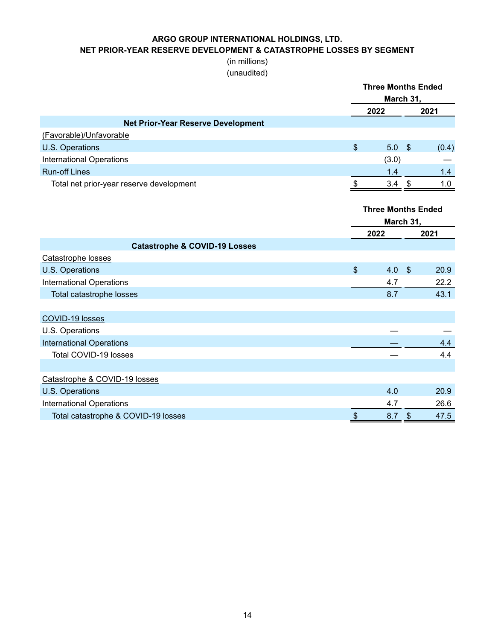**NET PRIOR-YEAR RESERVE DEVELOPMENT & CATASTROPHE LOSSES BY SEGMENT**

#### (in millions) (unaudited)

|                                           | <b>Three Months Ended</b><br>March 31, |                           |                             |       |  |  |  |
|-------------------------------------------|----------------------------------------|---------------------------|-----------------------------|-------|--|--|--|
|                                           |                                        | 2022                      |                             | 2021  |  |  |  |
| <b>Net Prior-Year Reserve Development</b> |                                        |                           |                             |       |  |  |  |
| (Favorable)/Unfavorable                   |                                        |                           |                             |       |  |  |  |
| U.S. Operations                           | $\boldsymbol{\mathsf{S}}$              | 5.0                       | $\mathcal{S}$               | (0.4) |  |  |  |
| <b>International Operations</b>           |                                        | (3.0)                     |                             |       |  |  |  |
| <b>Run-off Lines</b>                      |                                        | 1.4                       |                             | 1.4   |  |  |  |
| Total net prior-year reserve development  | \$                                     | $3.4$ \$                  |                             | 1.0   |  |  |  |
|                                           |                                        | <b>Three Months Ended</b> |                             |       |  |  |  |
|                                           |                                        | March 31,                 |                             |       |  |  |  |
|                                           |                                        | 2022                      |                             | 2021  |  |  |  |
| <b>Catastrophe &amp; COVID-19 Losses</b>  |                                        |                           |                             |       |  |  |  |
| Catastrophe losses                        |                                        |                           |                             |       |  |  |  |
| U.S. Operations                           | $\boldsymbol{\mathsf{S}}$              | 4.0                       | $\mathbf{\hat{S}}$          | 20.9  |  |  |  |
| <b>International Operations</b>           |                                        | 4.7                       |                             | 22.2  |  |  |  |
| Total catastrophe losses                  |                                        | 8.7                       |                             | 43.1  |  |  |  |
| COVID-19 losses                           |                                        |                           |                             |       |  |  |  |
| U.S. Operations                           |                                        |                           |                             |       |  |  |  |
| <b>International Operations</b>           |                                        |                           |                             | 4.4   |  |  |  |
| Total COVID-19 losses                     |                                        |                           |                             | 4.4   |  |  |  |
| Catastrophe & COVID-19 losses             |                                        |                           |                             |       |  |  |  |
| U.S. Operations                           |                                        | 4.0                       |                             | 20.9  |  |  |  |
| <b>International Operations</b>           |                                        | 4.7                       |                             | 26.6  |  |  |  |
| Total catastrophe & COVID-19 losses       | \$                                     | 8.7                       | $\boldsymbol{\hat{\theta}}$ | 47.5  |  |  |  |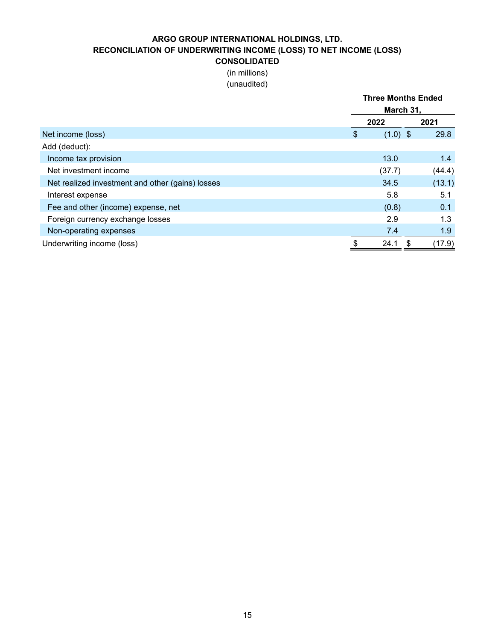#### **ARGO GROUP INTERNATIONAL HOLDINGS, LTD. RECONCILIATION OF UNDERWRITING INCOME (LOSS) TO NET INCOME (LOSS) CONSOLIDATED**

# (in millions)

|                                                  |    | <b>Three Months Ended</b><br>March 31, |   |        |  |
|--------------------------------------------------|----|----------------------------------------|---|--------|--|
|                                                  |    | 2022                                   |   | 2021   |  |
| Net income (loss)                                | S  | $(1.0)$ \$                             |   | 29.8   |  |
| Add (deduct):                                    |    |                                        |   |        |  |
| Income tax provision                             |    | 13.0                                   |   | 1.4    |  |
| Net investment income                            |    | (37.7)                                 |   | (44.4) |  |
| Net realized investment and other (gains) losses |    | 34.5                                   |   | (13.1) |  |
| Interest expense                                 |    | 5.8                                    |   | 5.1    |  |
| Fee and other (income) expense, net              |    | (0.8)                                  |   | 0.1    |  |
| Foreign currency exchange losses                 |    | 2.9                                    |   | 1.3    |  |
| Non-operating expenses                           |    | 7.4                                    |   | 1.9    |  |
| Underwriting income (loss)                       | \$ | 24.1                                   | S | (17.9) |  |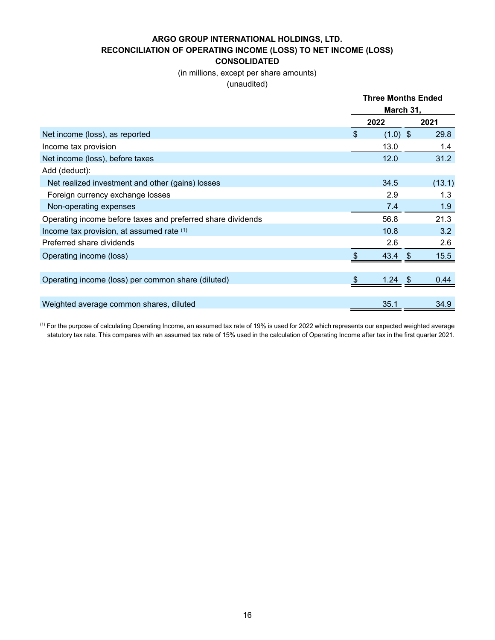**ARGO GROUP INTERNATIONAL HOLDINGS, LTD. RECONCILIATION OF OPERATING INCOME (LOSS) TO NET INCOME (LOSS) CONSOLIDATED**

> (in millions, except per share amounts) (unaudited)

|                                                             |           | <b>Three Months Ended</b> |        |  |  |
|-------------------------------------------------------------|-----------|---------------------------|--------|--|--|
|                                                             | March 31, |                           |        |  |  |
|                                                             |           | 2022                      | 2021   |  |  |
| Net income (loss), as reported                              | \$        | $(1.0)$ \$                | 29.8   |  |  |
| Income tax provision                                        |           | 13.0                      | 1.4    |  |  |
| Net income (loss), before taxes                             |           | 12.0                      | 31.2   |  |  |
| Add (deduct):                                               |           |                           |        |  |  |
| Net realized investment and other (gains) losses            |           | 34.5                      | (13.1) |  |  |
| Foreign currency exchange losses                            |           | 2.9                       | 1.3    |  |  |
| Non-operating expenses                                      |           | 7.4                       | 1.9    |  |  |
| Operating income before taxes and preferred share dividends |           | 56.8                      | 21.3   |  |  |
| Income tax provision, at assumed rate (1)                   |           | 10.8                      | 3.2    |  |  |
| Preferred share dividends                                   |           | 2.6                       | 2.6    |  |  |
| Operating income (loss)                                     |           | $43.4$ \$                 | 15.5   |  |  |
|                                                             |           |                           |        |  |  |
| Operating income (loss) per common share (diluted)          | - \$      | $1.24$ \$                 | 0.44   |  |  |
|                                                             |           |                           |        |  |  |
| Weighted average common shares, diluted                     |           | 35.1                      | 34.9   |  |  |

<sup>(1)</sup> For the purpose of calculating Operating Income, an assumed tax rate of 19% is used for 2022 which represents our expected weighted average statutory tax rate. This compares with an assumed tax rate of 15% used in the calculation of Operating Income after tax in the first quarter 2021.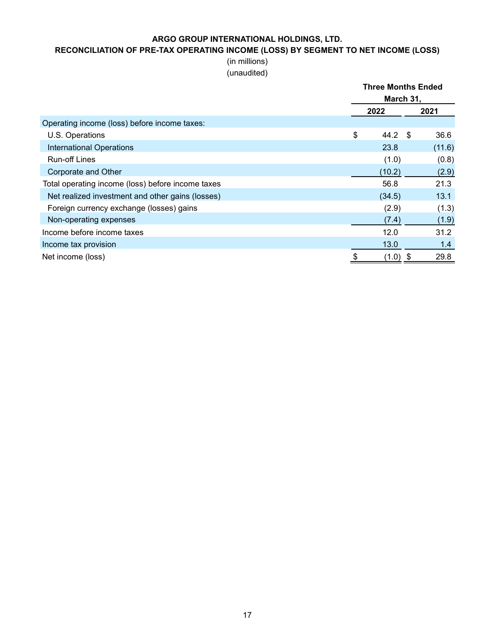# **RECONCILIATION OF PRE-TAX OPERATING INCOME (LOSS) BY SEGMENT TO NET INCOME (LOSS)**

## (in millions) (unaudited)

|                                                   | <b>Three Months Ended</b><br>March 31, |            |  |  |
|---------------------------------------------------|----------------------------------------|------------|--|--|
|                                                   | 2022                                   | 2021       |  |  |
| Operating income (loss) before income taxes:      |                                        |            |  |  |
| U.S. Operations                                   | \$<br>44.2                             | 36.6<br>\$ |  |  |
| <b>International Operations</b>                   | 23.8                                   | (11.6)     |  |  |
| <b>Run-off Lines</b>                              | (1.0)                                  | (0.8)      |  |  |
| Corporate and Other                               | (10.2)                                 | (2.9)      |  |  |
| Total operating income (loss) before income taxes | 56.8                                   | 21.3       |  |  |
| Net realized investment and other gains (losses)  | (34.5)                                 | 13.1       |  |  |
| Foreign currency exchange (losses) gains          | (2.9)                                  | (1.3)      |  |  |
| Non-operating expenses                            | (7.4)                                  | (1.9)      |  |  |
| Income before income taxes                        | 12.0                                   | 31.2       |  |  |
| Income tax provision                              | 13.0                                   | 1.4        |  |  |
| Net income (loss)                                 | \$<br>$(1.0)$ \$                       | 29.8       |  |  |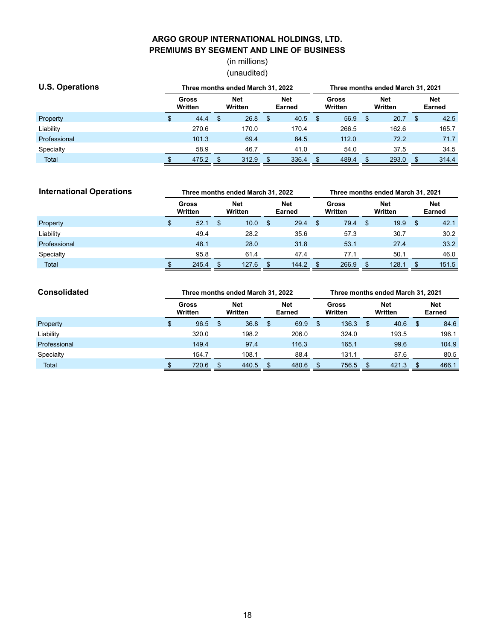## **ARGO GROUP INTERNATIONAL HOLDINGS, LTD. PREMIUMS BY SEGMENT AND LINE OF BUSINESS**

(in millions) (unaudited)

| <b>U.S. Operations</b> |  | Three months ended March 31, 2022 |    |                |  | Three months ended March 31, 2021 |  |                  |    |                       |    |                             |
|------------------------|--|-----------------------------------|----|----------------|--|-----------------------------------|--|------------------|----|-----------------------|----|-----------------------------|
|                        |  | Gross<br>Written                  |    | Net<br>Written |  | <b>Net</b><br>Earned              |  | Gross<br>Written |    | <b>Net</b><br>Written |    | <b>Net</b><br><b>Earned</b> |
| Property               |  | 44.4                              | \$ | 26.8           |  | 40.5                              |  | 56.9             | -S | 20.7                  | \$ | 42.5                        |
| Liability              |  | 270.6                             |    | 170.0          |  | 170.4                             |  | 266.5            |    | 162.6                 |    | 165.7                       |
| Professional           |  | 101.3                             |    | 69.4           |  | 84.5                              |  | 112.0            |    | 72.2                  |    | 71.7                        |
| Specialty              |  | 58.9                              |    | 46.7           |  | 41.0                              |  | 54.0             |    | 37.5                  |    | 34.5                        |
| <b>Total</b>           |  | 475.2                             |    | 312.9          |  | 336.4                             |  | 489.4            |    | 293.0                 |    | 314.4                       |

| <b>International Operations</b> |  | Three months ended March 31, 2022 |    |                       |    |                      | Three months ended March 31, 2021 |                  |     |                       |    |                             |  |
|---------------------------------|--|-----------------------------------|----|-----------------------|----|----------------------|-----------------------------------|------------------|-----|-----------------------|----|-----------------------------|--|
|                                 |  | Gross<br>Written                  |    | <b>Net</b><br>Written |    | <b>Net</b><br>Earned |                                   | Gross<br>Written |     | <b>Net</b><br>Written |    | <b>Net</b><br><b>Earned</b> |  |
| Property                        |  | 52.1                              | \$ | 10.0                  | \$ | 29.4                 | \$                                | 79.4             | -\$ | 19.9                  | \$ | 42.1                        |  |
| Liability                       |  | 49.4                              |    | 28.2                  |    | 35.6                 |                                   | 57.3             |     | 30.7                  |    | 30.2                        |  |
| Professional                    |  | 48.1                              |    | 28.0                  |    | 31.8                 |                                   | 53.1             |     | 27.4                  |    | 33.2                        |  |
| Specialty                       |  | 95.8                              |    | 61.4                  |    | 47.4                 |                                   | 77.1             |     | 50.1                  |    | 46.0                        |  |
| Total                           |  | 245.4                             |    | 127.6                 |    | 144.2                |                                   | 266.9            |     | 128.1                 |    | 151.5                       |  |

| <b>Consolidated</b> | Three months ended March 31, 2022 |                  |    |                |    | Three months ended March 31, 2021 |    |                  |    |                       |     |                             |
|---------------------|-----------------------------------|------------------|----|----------------|----|-----------------------------------|----|------------------|----|-----------------------|-----|-----------------------------|
|                     |                                   | Gross<br>Written |    | Net<br>Written |    | <b>Net</b><br>Earned              |    | Gross<br>Written |    | <b>Net</b><br>Written |     | <b>Net</b><br><b>Earned</b> |
| Property            |                                   | 96.5             | \$ | 36.8           | \$ | 69.9                              | \$ | 136.3            | \$ | 40.6                  | \$. | 84.6                        |
| Liability           |                                   | 320.0            |    | 198.2          |    | 206.0                             |    | 324.0            |    | 193.5                 |     | 196.1                       |
| Professional        |                                   | 149.4            |    | 97.4           |    | 116.3                             |    | 165.1            |    | 99.6                  |     | 104.9                       |
| Specialty           |                                   | 154.7            |    | 108.1          |    | 88.4                              |    | 131.1            |    | 87.6                  |     | 80.5                        |
| <b>Total</b>        |                                   | 720.6            |    | 440.5          |    | 480.6                             |    | 756.5            |    | 421.3                 |     | 466.1                       |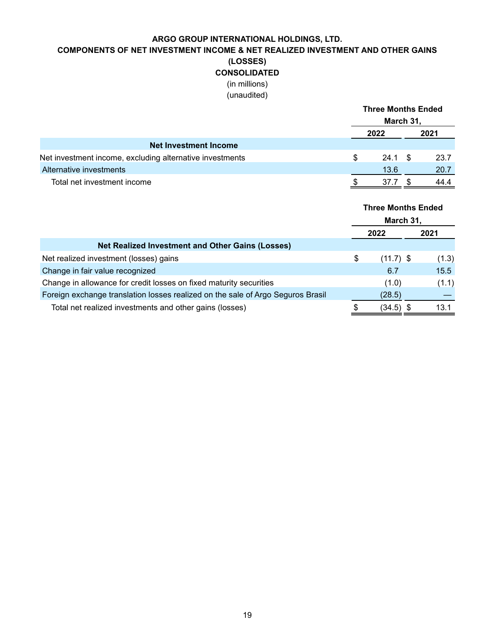## **COMPONENTS OF NET INVESTMENT INCOME & NET REALIZED INVESTMENT AND OTHER GAINS (LOSSES) CONSOLIDATED** (in millions)

|                                                          |   | <b>Three Months Ended</b> |  |      |  |
|----------------------------------------------------------|---|---------------------------|--|------|--|
|                                                          |   | March 31,                 |  |      |  |
|                                                          |   | 2022                      |  | 2021 |  |
| <b>Net Investment Income</b>                             |   |                           |  |      |  |
| Net investment income, excluding alternative investments | S | 24.1 S                    |  | 23.7 |  |
| Alternative investments                                  |   | 13.6                      |  | 20.7 |  |
| Total net investment income                              |   | 37.7                      |  | 44.4 |  |

|                                                                                 | <b>Three Months Ended</b><br>March 31, |       |
|---------------------------------------------------------------------------------|----------------------------------------|-------|
|                                                                                 | 2022                                   | 2021  |
| <b>Net Realized Investment and Other Gains (Losses)</b>                         |                                        |       |
| Net realized investment (losses) gains                                          | \$<br>$(11.7)$ \$                      | (1.3) |
| Change in fair value recognized                                                 | 6.7                                    | 15.5  |
| Change in allowance for credit losses on fixed maturity securities              | (1.0)                                  | (1.1) |
| Foreign exchange translation losses realized on the sale of Argo Seguros Brasil | (28.5)                                 |       |
| Total net realized investments and other gains (losses)                         | \$<br>(34.5) \$                        | 13.1  |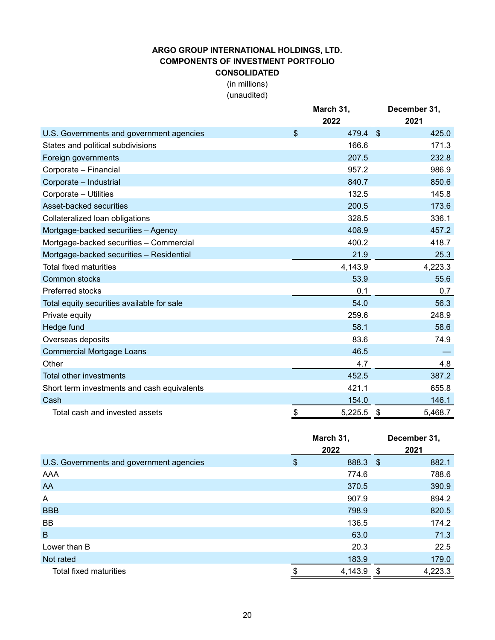#### **ARGO GROUP INTERNATIONAL HOLDINGS, LTD. COMPONENTS OF INVESTMENT PORTFOLIO CONSOLIDATED**

(in millions)

|                                             |                           |          | December 31,   |
|---------------------------------------------|---------------------------|----------|----------------|
|                                             |                           | 2022     | 2021           |
| U.S. Governments and government agencies    | $\boldsymbol{\mathsf{S}}$ | 479.4 \$ | 425.0          |
| States and political subdivisions           |                           | 166.6    | 171.3          |
| Foreign governments                         |                           | 207.5    | 232.8          |
| Corporate - Financial                       |                           | 957.2    | 986.9          |
| Corporate - Industrial                      |                           | 840.7    | 850.6          |
| Corporate - Utilities                       |                           | 132.5    | 145.8          |
| Asset-backed securities                     |                           | 200.5    | 173.6          |
| Collateralized loan obligations             |                           | 328.5    | 336.1          |
| Mortgage-backed securities - Agency         |                           | 408.9    | 457.2          |
| Mortgage-backed securities - Commercial     |                           | 400.2    | 418.7          |
| Mortgage-backed securities - Residential    |                           | 21.9     | 25.3           |
| <b>Total fixed maturities</b>               |                           | 4,143.9  | 4,223.3        |
| <b>Common stocks</b>                        |                           | 53.9     | 55.6           |
| <b>Preferred stocks</b>                     |                           | 0.1      | 0.7            |
| Total equity securities available for sale  |                           | 54.0     | 56.3           |
| Private equity                              |                           | 259.6    | 248.9          |
| Hedge fund                                  |                           | 58.1     | 58.6           |
| Overseas deposits                           |                           | 83.6     | 74.9           |
| <b>Commercial Mortgage Loans</b>            |                           | 46.5     |                |
| Other                                       |                           | 4.7      | 4.8            |
| Total other investments                     |                           | 452.5    | 387.2          |
| Short term investments and cash equivalents |                           | 421.1    | 655.8          |
| Cash                                        |                           | 154.0    | 146.1          |
| Total cash and invested assets              | \$                        | 5,225.5  | 5,468.7<br>-\$ |

|                                          | March 31,      | December 31,  |
|------------------------------------------|----------------|---------------|
|                                          | 2022           | 2021          |
| U.S. Governments and government agencies | \$<br>888.3 \$ | 882.1         |
| AAA                                      | 774.6          | 788.6         |
| AA                                       | 370.5          | 390.9         |
| A                                        | 907.9          | 894.2         |
| <b>BBB</b>                               | 798.9          | 820.5         |
| BB                                       | 136.5          | 174.2         |
| B                                        | 63.0           | 71.3          |
| Lower than B                             | 20.3           | 22.5          |
| Not rated                                | 183.9          | 179.0         |
| Total fixed maturities                   | \$<br>4,143.9  | \$<br>4,223.3 |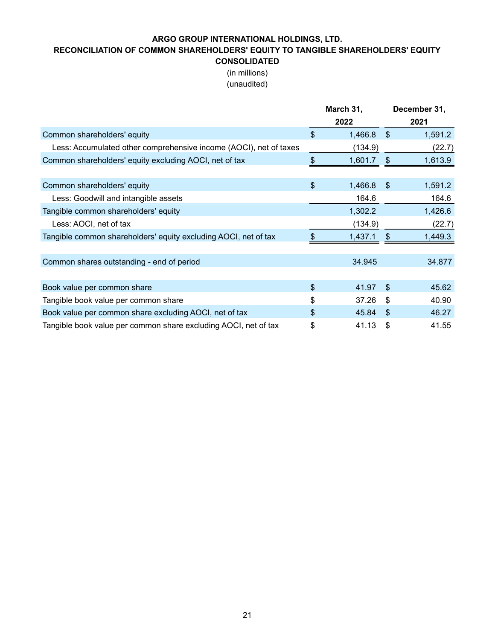# **RECONCILIATION OF COMMON SHAREHOLDERS' EQUITY TO TANGIBLE SHAREHOLDERS' EQUITY**

**CONSOLIDATED** (in millions) (unaudited)

|                                                                   | March 31,     |                | December 31, |
|-------------------------------------------------------------------|---------------|----------------|--------------|
|                                                                   | 2022          |                | 2021         |
| Common shareholders' equity                                       | \$<br>1,466.8 | $\mathfrak{F}$ | 1,591.2      |
| Less: Accumulated other comprehensive income (AOCI), net of taxes | (134.9)       |                | (22.7)       |
| Common shareholders' equity excluding AOCI, net of tax            | \$<br>1,601.7 | \$             | 1,613.9      |
|                                                                   |               |                |              |
| Common shareholders' equity                                       | \$<br>1,466.8 | $\mathfrak{F}$ | 1,591.2      |
| Less: Goodwill and intangible assets                              | 164.6         |                | 164.6        |
| Tangible common shareholders' equity                              | 1,302.2       |                | 1,426.6      |
| Less: AOCI, net of tax                                            | (134.9)       |                | (22.7)       |
| Tangible common shareholders' equity excluding AOCI, net of tax   | 1,437.1       | \$             | 1,449.3      |
|                                                                   |               |                |              |
| Common shares outstanding - end of period                         | 34.945        |                | 34.877       |
|                                                                   |               |                |              |
| Book value per common share                                       | \$<br>41.97   | -\$            | 45.62        |
| Tangible book value per common share                              | \$<br>37.26   | \$             | 40.90        |
| Book value per common share excluding AOCI, net of tax            | \$<br>45.84   | -\$            | 46.27        |
| Tangible book value per common share excluding AOCI, net of tax   | \$<br>41.13   | \$             | 41.55        |